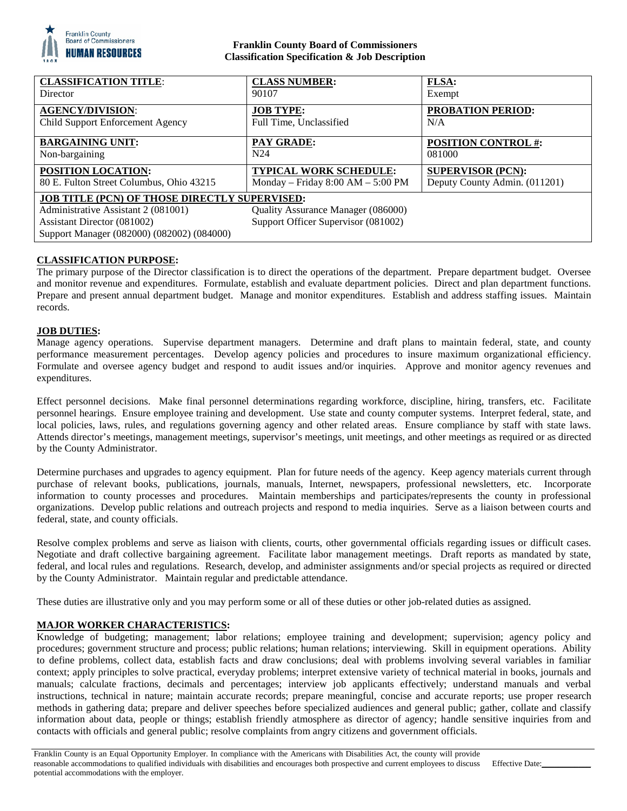

## **Franklin County Board of Commissioners Classification Specification & Job Description**

| <b>CLASSIFICATION TITLE:</b>                                                                                                                                             | <b>CLASS NUMBER:</b>                                                      | <b>FLSA:</b>                  |
|--------------------------------------------------------------------------------------------------------------------------------------------------------------------------|---------------------------------------------------------------------------|-------------------------------|
| <b>Director</b>                                                                                                                                                          | 90107                                                                     | Exempt                        |
| <b>AGENCY/DIVISION:</b>                                                                                                                                                  | <b>JOB TYPE:</b>                                                          | <b>PROBATION PERIOD:</b>      |
| Child Support Enforcement Agency                                                                                                                                         | Full Time, Unclassified                                                   | N/A                           |
| <b>BARGAINING UNIT:</b>                                                                                                                                                  | <b>PAY GRADE:</b>                                                         | <b>POSITION CONTROL #:</b>    |
| Non-bargaining                                                                                                                                                           | N24                                                                       | 081000                        |
| POSITION LOCATION:                                                                                                                                                       | <b>TYPICAL WORK SCHEDULE:</b>                                             | <b>SUPERVISOR (PCN):</b>      |
| 80 E. Fulton Street Columbus, Ohio 43215                                                                                                                                 | Monday – Friday $8:00 AM - 5:00 PM$                                       | Deputy County Admin. (011201) |
| <b>JOB TITLE (PCN) OF THOSE DIRECTLY SUPERVISED:</b><br>Administrative Assistant 2 (081001)<br>Assistant Director (081002)<br>Support Manager (082000) (082002) (084000) | Quality Assurance Manager (086000)<br>Support Officer Supervisor (081002) |                               |

# **CLASSIFICATION PURPOSE:**

The primary purpose of the Director classification is to direct the operations of the department. Prepare department budget. Oversee and monitor revenue and expenditures. Formulate, establish and evaluate department policies. Direct and plan department functions. Prepare and present annual department budget. Manage and monitor expenditures. Establish and address staffing issues. Maintain records.

### **JOB DUTIES:**

Manage agency operations. Supervise department managers. Determine and draft plans to maintain federal, state, and county performance measurement percentages. Develop agency policies and procedures to insure maximum organizational efficiency. Formulate and oversee agency budget and respond to audit issues and/or inquiries. Approve and monitor agency revenues and expenditures.

Effect personnel decisions. Make final personnel determinations regarding workforce, discipline, hiring, transfers, etc. Facilitate personnel hearings. Ensure employee training and development. Use state and county computer systems. Interpret federal, state, and local policies, laws, rules, and regulations governing agency and other related areas. Ensure compliance by staff with state laws. Attends director's meetings, management meetings, supervisor's meetings, unit meetings, and other meetings as required or as directed by the County Administrator.

Determine purchases and upgrades to agency equipment. Plan for future needs of the agency. Keep agency materials current through purchase of relevant books, publications, journals, manuals, Internet, newspapers, professional newsletters, etc. Incorporate information to county processes and procedures. Maintain memberships and participates/represents the county in professional organizations. Develop public relations and outreach projects and respond to media inquiries. Serve as a liaison between courts and federal, state, and county officials.

Resolve complex problems and serve as liaison with clients, courts, other governmental officials regarding issues or difficult cases. Negotiate and draft collective bargaining agreement. Facilitate labor management meetings. Draft reports as mandated by state, federal, and local rules and regulations. Research, develop, and administer assignments and/or special projects as required or directed by the County Administrator. Maintain regular and predictable attendance.

These duties are illustrative only and you may perform some or all of these duties or other job-related duties as assigned.

# **MAJOR WORKER CHARACTERISTICS:**

Knowledge of budgeting; management; labor relations; employee training and development; supervision; agency policy and procedures; government structure and process; public relations; human relations; interviewing. Skill in equipment operations. Ability to define problems, collect data, establish facts and draw conclusions; deal with problems involving several variables in familiar context; apply principles to solve practical, everyday problems; interpret extensive variety of technical material in books, journals and manuals; calculate fractions, decimals and percentages; interview job applicants effectively; understand manuals and verbal instructions, technical in nature; maintain accurate records; prepare meaningful, concise and accurate reports; use proper research methods in gathering data; prepare and deliver speeches before specialized audiences and general public; gather, collate and classify information about data, people or things; establish friendly atmosphere as director of agency; handle sensitive inquiries from and contacts with officials and general public; resolve complaints from angry citizens and government officials.

Effective Date: